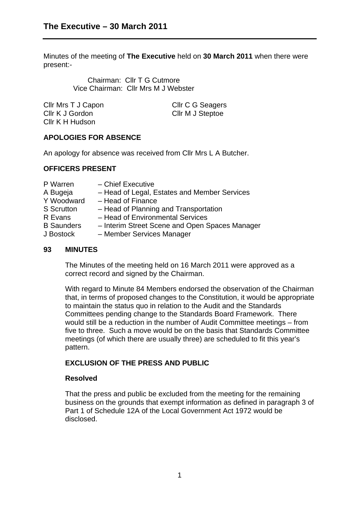Minutes of the meeting of **The Executive** held on **30 March 2011** when there were present:-

> Chairman: Cllr T G Cutmore Vice Chairman: Cllr Mrs M J Webster

| Cllr Mrs T J Capon | Cllr C G Seagers |
|--------------------|------------------|
| Cllr K J Gordon    | CIIr M J Steptoe |
| Cllr K H Hudson    |                  |

# **APOLOGIES FOR ABSENCE**

An apology for absence was received from Cllr Mrs L A Butcher.

#### **OFFICERS PRESENT**

| P Warren          | - Chief Executive                              |
|-------------------|------------------------------------------------|
| A Bugeja          | - Head of Legal, Estates and Member Services   |
| Y Woodward        | - Head of Finance                              |
| <b>S</b> Scrutton | - Head of Planning and Transportation          |
| R Evans           | - Head of Environmental Services               |
| <b>B</b> Saunders | - Interim Street Scene and Open Spaces Manager |
| J Bostock         | - Member Services Manager                      |
|                   |                                                |

#### **93 MINUTES**

The Minutes of the meeting held on 16 March 2011 were approved as a correct record and signed by the Chairman.

With regard to Minute 84 Members endorsed the observation of the Chairman that, in terms of proposed changes to the Constitution, it would be appropriate to maintain the status quo in relation to the Audit and the Standards Committees pending change to the Standards Board Framework. There would still be a reduction in the number of Audit Committee meetings – from five to three. Such a move would be on the basis that Standards Committee meetings (of which there are usually three) are scheduled to fit this year's pattern.

# **EXCLUSION OF THE PRESS AND PUBLIC**

#### **Resolved**

That the press and public be excluded from the meeting for the remaining business on the grounds that exempt information as defined in paragraph 3 of Part 1 of Schedule 12A of the Local Government Act 1972 would be disclosed.